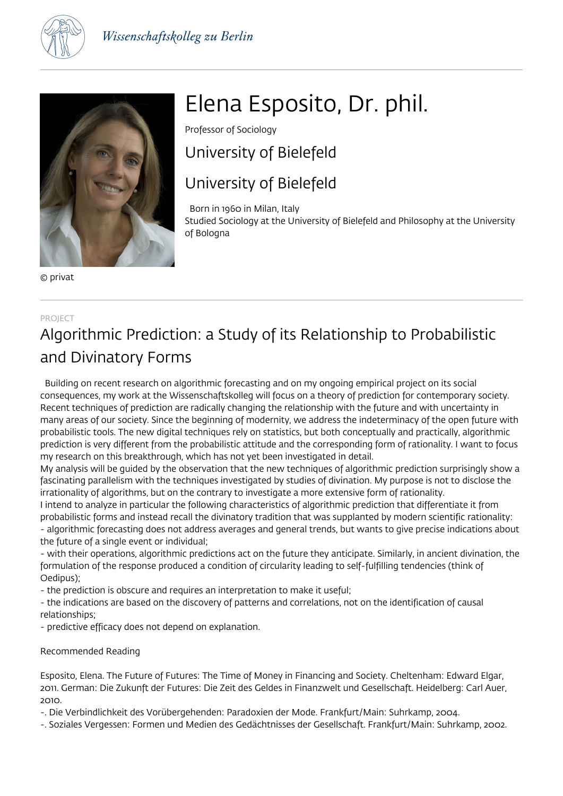



© privat

# Elena Esposito, Dr. phil.

Professor of Sociology

University of Bielefeld

### University of Bielefeld

Born in 1960 in Milan, Italy

Studied Sociology at the University of Bielefeld and Philosophy at the University of Bologna

### PROJECT Algorithmic Prediction: a Study of its Relationship to Probabilistic and Divinatory Forms

 Building on recent research on algorithmic forecasting and on my ongoing empirical project on its social consequences, my work at the Wissenschaftskolleg will focus on a theory of prediction for contemporary society. Recent techniques of prediction are radically changing the relationship with the future and with uncertainty in many areas of our society. Since the beginning of modernity, we address the indeterminacy of the open future with probabilistic tools. The new digital techniques rely on statistics, but both conceptually and practically, algorithmic prediction is very different from the probabilistic attitude and the corresponding form of rationality. I want to focus my research on this breakthrough, which has not yet been investigated in detail.

My analysis will be guided by the observation that the new techniques of algorithmic prediction surprisingly show a fascinating parallelism with the techniques investigated by studies of divination. My purpose is not to disclose the irrationality of algorithms, but on the contrary to investigate a more extensive form of rationality.

I intend to analyze in particular the following characteristics of algorithmic prediction that differentiate it from probabilistic forms and instead recall the divinatory tradition that was supplanted by modern scientific rationality: - algorithmic forecasting does not address averages and general trends, but wants to give precise indications about the future of a single event or individual;

- with their operations, algorithmic predictions act on the future they anticipate. Similarly, in ancient divination, the formulation of the response produced a condition of circularity leading to self-fulfilling tendencies (think of Oedipus);

- the prediction is obscure and requires an interpretation to make it useful;

- the indications are based on the discovery of patterns and correlations, not on the identification of causal relationships;

- predictive efficacy does not depend on explanation.

### Recommended Reading

Esposito, Elena. The Future of Futures: The Time of Money in Financing and Society. Cheltenham: Edward Elgar, 2011. German: Die Zukunft der Futures: Die Zeit des Geldes in Finanzwelt und Gesellschaft. Heidelberg: Carl Auer, 2010.

-. Die Verbindlichkeit des Vorübergehenden: Paradoxien der Mode. Frankfurt/Main: Suhrkamp, 2004.

-. Soziales Vergessen: Formen und Medien des Gedächtnisses der Gesellschaft. Frankfurt/Main: Suhrkamp, 2002.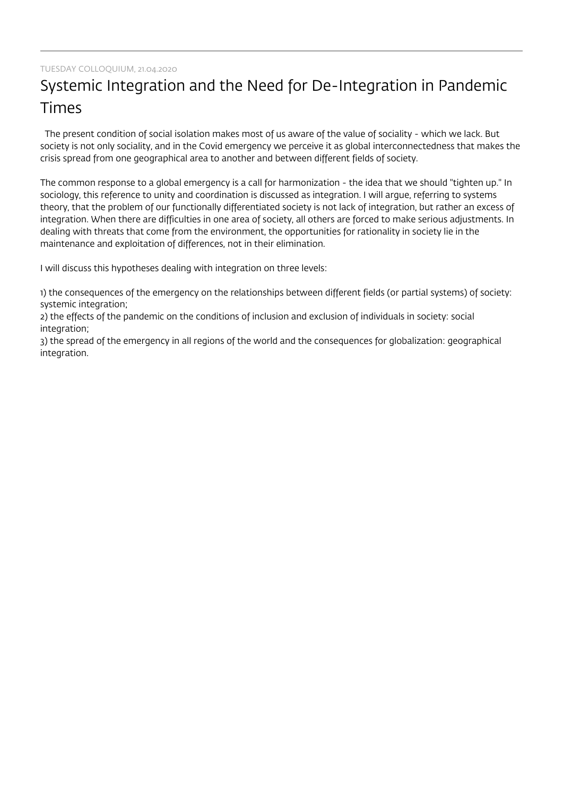## Systemic Integration and the Need for De-Integration in Pandemic Times

 The present condition of social isolation makes most of us aware of the value of sociality - which we lack. But society is not only sociality, and in the Covid emergency we perceive it as global interconnectedness that makes the crisis spread from one geographical area to another and between different fields of society.

The common response to a global emergency is a call for harmonization - the idea that we should "tighten up." In sociology, this reference to unity and coordination is discussed as integration. I will argue, referring to systems theory, that the problem of our functionally differentiated society is not lack of integration, but rather an excess of integration. When there are difficulties in one area of society, all others are forced to make serious adjustments. In dealing with threats that come from the environment, the opportunities for rationality in society lie in the maintenance and exploitation of differences, not in their elimination.

I will discuss this hypotheses dealing with integration on three levels:

1) the consequences of the emergency on the relationships between different fields (or partial systems) of society: systemic integration;

2) the effects of the pandemic on the conditions of inclusion and exclusion of individuals in society: social integration;

3) the spread of the emergency in all regions of the world and the consequences for globalization: geographical integration.